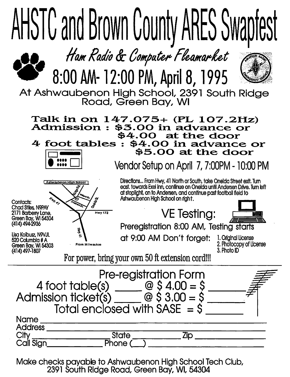

Make checks payable to Ashwaubenon High School Tech Club, 2391 South Ridge Road, Green Bay, WI, 54304